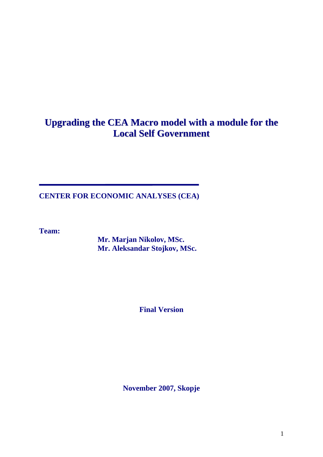# **Upgrading the CEA Macro model with a module for the Local Self Government**

**CENTER FOR ECONOMIC ANALYSES (CEA)** 

**Team:** 

**Mr. Marjan Nikolov, MSc. Mr. Aleksandar Stojkov, MSc.** 

**Final Version** 

**November 2007, Skopje**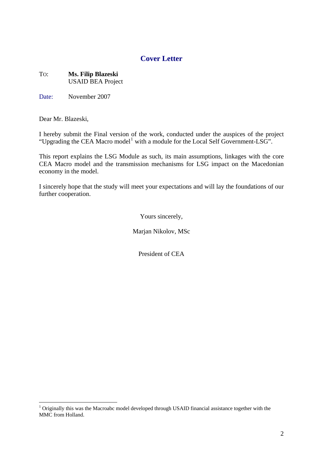### **Cover Letter**

#### TO: **Ms. Filip Blazeski**  USAID BEA Project

Date: November 2007

Dear Mr. Blazeski,

<u>.</u>

I hereby submit the Final version of the work, conducted under the auspices of the project "Upgrading the CEA Macro model<sup>[1](#page-1-0)</sup> with a module for the Local Self Government-LSG".

This report explains the LSG Module as such, its main assumptions, linkages with the core CEA Macro model and the transmission mechanisms for LSG impact on the Macedonian economy in the model.

I sincerely hope that the study will meet your expectations and will lay the foundations of our further cooperation.

Yours sincerely,

Marjan Nikolov, MSc

President of CEA

<span id="page-1-0"></span> $1$  Originally this was the Macroabc model developed through USAID financial assistance together with the MMC from Holland.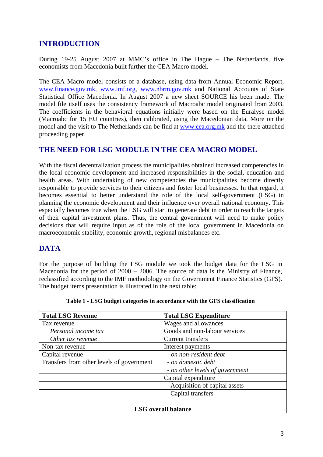### **INTRODUCTION**

During 19-25 August 2007 at MMC's office in The Hague – The Netherlands, five economists from Macedonia built further the CEA Macro model.

The CEA Macro model consists of a database, using data from Annual Economic Report, [www.finance.gov.mk,](http://www.finance.gov.mk/) [www.imf.org,](http://www.imf.org/) [www.nbrm.gov.mk](http://www.nbrm.gov.mk/) and National Accounts of State Statistical Office Macedonia. In August 2007 a new sheet SOURCE his been made. The model file itself uses the consistency framework of Macroabc model originated from 2003. The coefficients in the behavioral equations initially were based on the Euralyse model (Macroabc for 15 EU countries), then calibrated, using the Macedonian data. More on the model and the visit to The Netherlands can be find at [www.cea.org.mk](http://www.cea.org.mk/) and the there attached proceeding paper.

#### **THE NEED FOR LSG MODULE IN THE CEA MACRO MODEL**

With the fiscal decentralization process the municipalities obtained increased competencies in the local economic development and increased responsibilities in the social, education and health areas. With undertaking of new competencies the municipalities become directly responsible to provide services to their citizens and foster local businesses. In that regard, it becomes essential to better understand the role of the local self-government (LSG) in planning the economic development and their influence over overall national economy. This especially becomes true when the LSG will start to generate debt in order to reach the targets of their capital investment plans. Thus, the central government will need to make policy decisions that will require input as of the role of the local government in Macedonia on macroeconomic stability, economic growth, regional misbalances etc.

### **DATA**

For the purpose of building the LSG module we took the budget data for the LSG in Macedonia for the period of 2000 – 2006. The source of data is the Ministry of Finance, reclassified according to the IMF methodology on the Government Finance Statistics (GFS). The budget items presentation is illustrated in the next table:

| <b>Total LSG Revenue</b>                  | <b>Total LSG Expenditure</b>    |  |  |  |  |
|-------------------------------------------|---------------------------------|--|--|--|--|
| Tax revenue                               | Wages and allowances            |  |  |  |  |
| Personal income tax                       | Goods and non-labour services   |  |  |  |  |
| Other tax revenue                         | <b>Current transfers</b>        |  |  |  |  |
| Non-tax revenue                           | Interest payments               |  |  |  |  |
| Capital revenue                           | - on non-resident debt          |  |  |  |  |
| Transfers from other levels of government | - on domestic debt              |  |  |  |  |
|                                           | - on other levels of government |  |  |  |  |
|                                           | Capital expenditure             |  |  |  |  |
|                                           | Acquisition of capital assets   |  |  |  |  |
|                                           | Capital transfers               |  |  |  |  |
|                                           |                                 |  |  |  |  |
| <b>LSG</b> overall balance                |                                 |  |  |  |  |

**Table 1 - LSG budget categories in accordance with the GFS classification**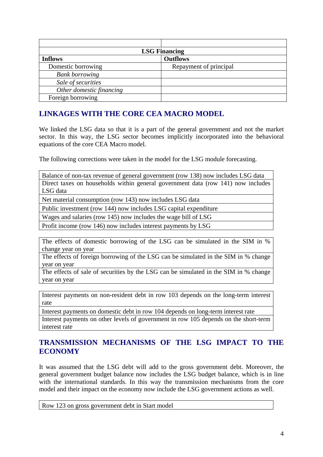| <b>LSG Financing</b>     |                        |  |  |  |  |  |
|--------------------------|------------------------|--|--|--|--|--|
| <b>Inflows</b>           | <b>Outflows</b>        |  |  |  |  |  |
| Domestic borrowing       | Repayment of principal |  |  |  |  |  |
| <b>Bank borrowing</b>    |                        |  |  |  |  |  |
| Sale of securities       |                        |  |  |  |  |  |
| Other domestic financing |                        |  |  |  |  |  |
| Foreign borrowing        |                        |  |  |  |  |  |

### **LINKAGES WITH THE CORE CEA MACRO MODEL**

We linked the LSG data so that it is a part of the general government and not the market sector. In this way, the LSG sector becomes implicitly incorporated into the behavioral equations of the core CEA Macro model.

The following corrections were taken in the model for the LSG module forecasting.

Balance of non-tax revenue of general government (row 138) now includes LSG data Direct taxes on households within general government data (row 141) now includes LSG data

Net material consumption (row 143) now includes LSG data

Public investment (row 144) now includes LSG capital expenditure

Wages and salaries (row 145) now includes the wage bill of LSG

Profit income (row 146) now includes interest payments by LSG

The effects of domestic borrowing of the LSG can be simulated in the SIM in % change year on year

The effects of foreign borrowing of the LSG can be simulated in the SIM in % change year on year

The effects of sale of securities by the LSG can be simulated in the SIM in % change year on year

Interest payments on non-resident debt in row 103 depends on the long-term interest rate

Interest payments on domestic debt in row 104 depends on long-term interest rate

Interest payments on other levels of government in row 105 depends on the short-term interest rate

#### **TRANSMISSION MECHANISMS OF THE LSG IMPACT TO THE ECONOMY**

It was assumed that the LSG debt will add to the gross government debt. Moreover, the general government budget balance now includes the LSG budget balance, which is in line with the international standards. In this way the transmission mechanisms from the core model and their impact on the economy now include the LSG government actions as well.

Row 123 on gross government debt in Start model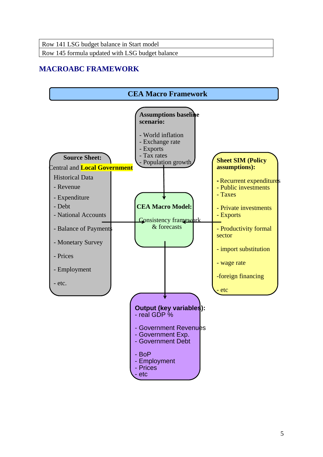Row 145 formula updated with LSG budget balance

# **MACROABC FRAMEWORK**

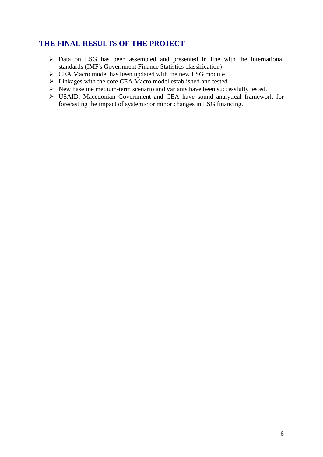### **THE FINAL RESULTS OF THE PROJECT**

- $\triangleright$  Data on LSG has been assembled and presented in line with the international standards (IMF's Government Finance Statistics classification)
- $\triangleright$  CEA Macro model has been updated with the new LSG module
- $\triangleright$  Linkages with the core CEA Macro model established and tested
- $\triangleright$  New baseline medium-term scenario and variants have been successfully tested.
- ¾ USAID, Macedonian Government and CEA have sound analytical framework for forecasting the impact of systemic or minor changes in LSG financing.